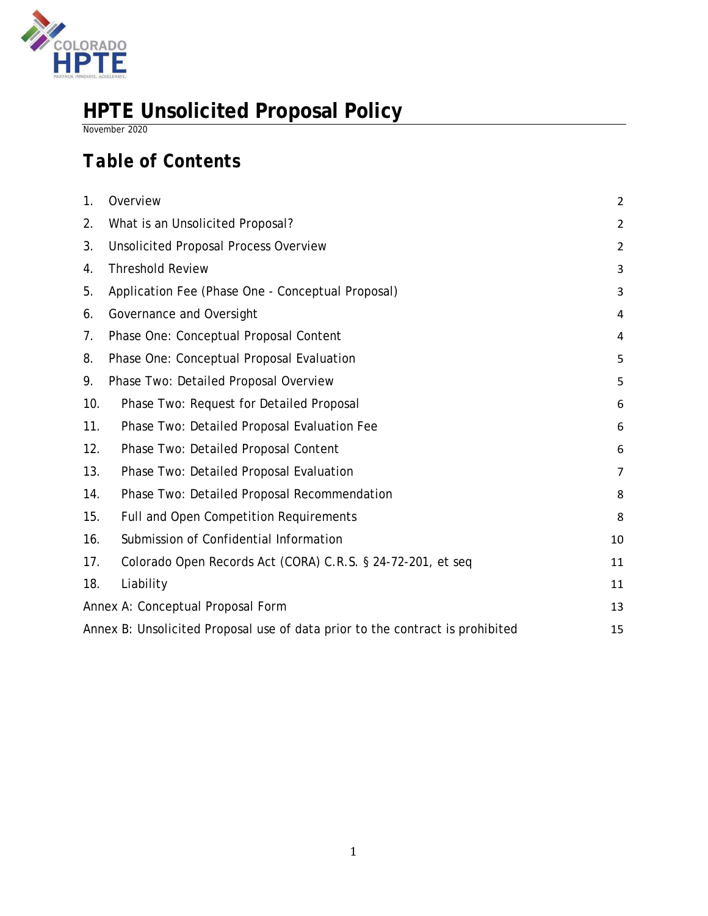

# **HPTE Unsolicited Proposal Policy**

*November 2020* 

# *Table of Contents*

| 1.                                                                            | Overview                                                    | $\overline{2}$ |
|-------------------------------------------------------------------------------|-------------------------------------------------------------|----------------|
| 2.                                                                            | What is an Unsolicited Proposal?                            | $\overline{2}$ |
| 3.                                                                            | <b>Unsolicited Proposal Process Overview</b>                | $\overline{2}$ |
| 4.                                                                            | <b>Threshold Review</b>                                     | 3              |
| 5.                                                                            | Application Fee (Phase One - Conceptual Proposal)           | 3              |
| 6.                                                                            | Governance and Oversight                                    | 4              |
| 7.                                                                            | Phase One: Conceptual Proposal Content                      | 4              |
| 8.                                                                            | Phase One: Conceptual Proposal Evaluation                   | 5              |
| 9.                                                                            | Phase Two: Detailed Proposal Overview                       | 5              |
| 10.                                                                           | Phase Two: Request for Detailed Proposal                    | 6              |
| 11.                                                                           | Phase Two: Detailed Proposal Evaluation Fee                 | 6              |
| 12.                                                                           | Phase Two: Detailed Proposal Content                        | 6              |
| 13.                                                                           | Phase Two: Detailed Proposal Evaluation                     | $\overline{7}$ |
| 14.                                                                           | Phase Two: Detailed Proposal Recommendation                 | 8              |
| 15.                                                                           | Full and Open Competition Requirements                      | 8              |
| 16.                                                                           | Submission of Confidential Information                      | 10             |
| 17.                                                                           | Colorado Open Records Act (CORA) C.R.S. § 24-72-201, et seq | 11             |
| 18.                                                                           | Liability                                                   | 11             |
| Annex A: Conceptual Proposal Form                                             |                                                             |                |
| Annex B: Unsolicited Proposal use of data prior to the contract is prohibited |                                                             |                |
|                                                                               |                                                             |                |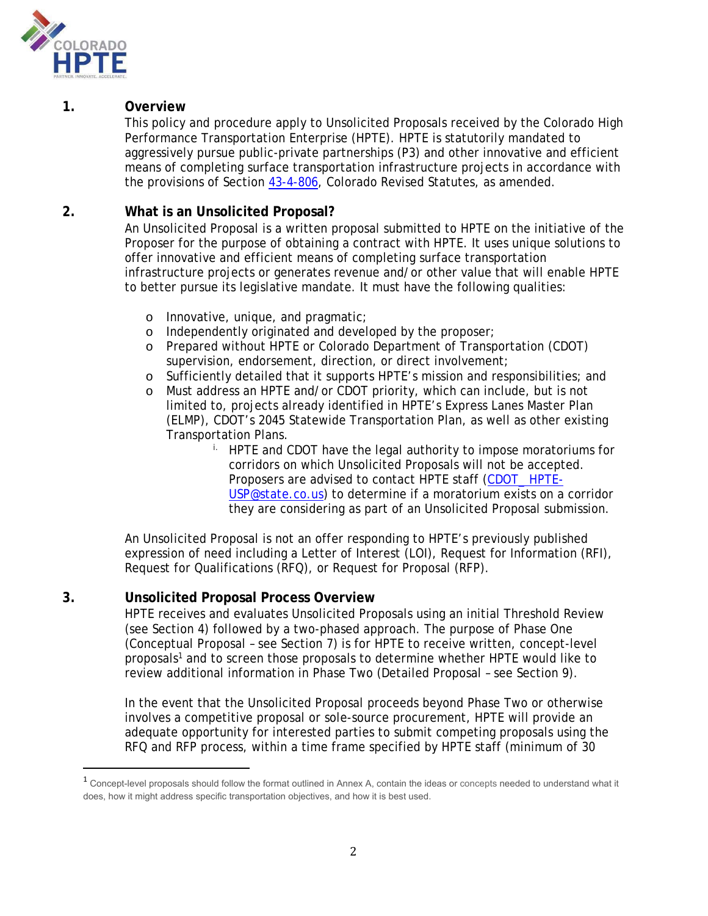

## **1. Overview**

This policy and procedure apply to Unsolicited Proposals received by the Colorado High Performance Transportation Enterprise (HPTE). HPTE is statutorily mandated to aggressively pursue public-private partnerships (P3) and other innovative and efficient means of completing surface transportation infrastructure projects in accordance with the provisions of Section 43-4-806, Colorado Revised Statutes, as amended.

## **2. What is an Unsolicited Proposal?**

An Unsolicited Proposal is a written proposal submitted to HPTE on the initiative of the Proposer for the purpose of obtaining a contract with HPTE. It uses unique solutions to offer innovative and efficient means of completing surface transportation infrastructure projects or generates revenue and/or other value that will enable HPTE to better pursue its legislative mandate. It must have the following qualities:

- o Innovative, unique, and pragmatic;
- o Independently originated and developed by the proposer;
- o Prepared without HPTE or Colorado Department of Transportation (CDOT) supervision, endorsement, direction, or direct involvement;
- o Sufficiently detailed that it supports HPTE's mission and responsibilities; and
- o Must address an HPTE and/or CDOT priority, which can include, but is not limited to, projects already identified in HPTE's Express Lanes Master Plan (ELMP), CDOT's 2045 Statewide Transportation Plan, as well as other existing Transportation Plans.
	- i. HPTE and CDOT have the legal authority to impose moratoriums for corridors on which Unsolicited Proposals will not be accepted. Proposers are advised to contact HPTE staff (CDOT\_ HPTE-USP@state.co.us) to determine if a moratorium exists on a corridor they are considering as part of an Unsolicited Proposal submission.

An Unsolicited Proposal is not an offer responding to HPTE's previously published expression of need including a Letter of Interest (LOI), Request for Information (RFI), Request for Qualifications (RFQ), or Request for Proposal (RFP).

# **3. Unsolicited Proposal Process Overview**

HPTE receives and evaluates Unsolicited Proposals using an initial Threshold Review (see Section 4) followed by a two-phased approach. The purpose of Phase One (Conceptual Proposal – see Section 7) is for HPTE to receive written, concept-level proposals1 and to screen those proposals to determine whether HPTE would like to review additional information in Phase Two (Detailed Proposal – see Section 9).

In the event that the Unsolicited Proposal proceeds beyond Phase Two or otherwise involves a competitive proposal or sole-source procurement, HPTE will provide an adequate opportunity for interested parties to submit competing proposals using the RFQ and RFP process, within a time frame specified by HPTE staff (minimum of 30

<sup>&</sup>lt;sup>1</sup> Concept-level proposals should follow the format outlined in Annex A, contain the ideas or concepts needed to understand what it does, how it might address specific transportation objectives, and how it is best used.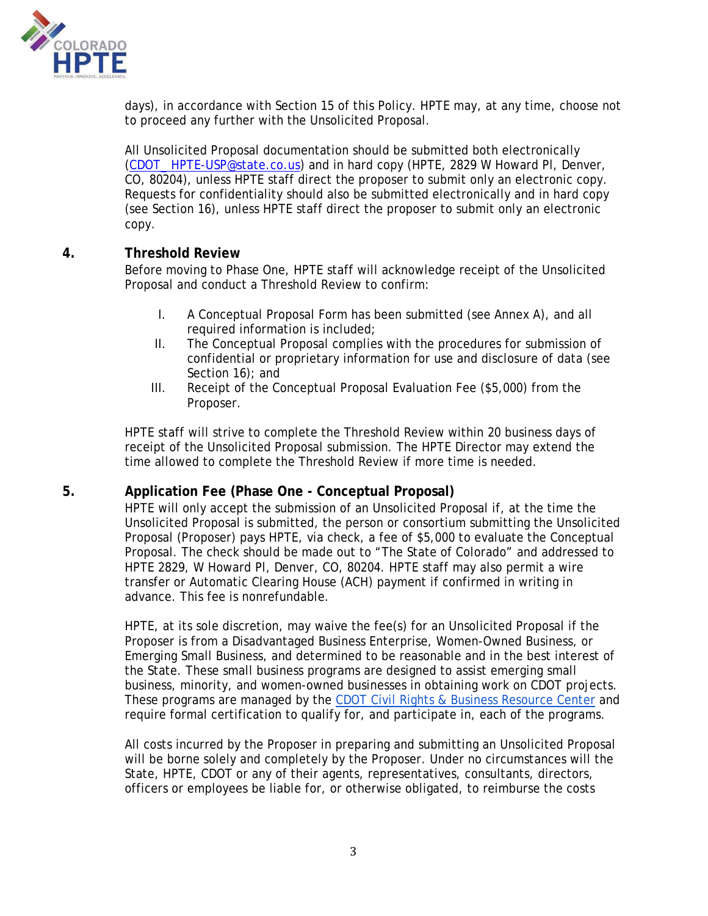

days), in accordance with Section 15 of this Policy. HPTE may, at any time, choose not to proceed any further with the Unsolicited Proposal.

All Unsolicited Proposal documentation should be submitted both electronically (CDOT\_ HPTE-USP@state.co.us) and in hard copy (HPTE, 2829 W Howard Pl, Denver, CO, 80204), unless HPTE staff direct the proposer to submit only an electronic copy. Requests for confidentiality should also be submitted electronically and in hard copy (see Section 16), unless HPTE staff direct the proposer to submit only an electronic copy.

### **4. Threshold Review**

Before moving to Phase One, HPTE staff will acknowledge receipt of the Unsolicited Proposal and conduct a Threshold Review to confirm:

- I. A Conceptual Proposal Form has been submitted (see Annex A), and all required information is included;
- II. The Conceptual Proposal complies with the procedures for submission of confidential or proprietary information for use and disclosure of data (see Section 16); and
- III. Receipt of the Conceptual Proposal Evaluation Fee (\$5,000) from the Proposer.

HPTE staff will strive to complete the Threshold Review within 20 business days of receipt of the Unsolicited Proposal submission. The HPTE Director may extend the time allowed to complete the Threshold Review if more time is needed.

# **5. Application Fee (Phase One - Conceptual Proposal)**

HPTE will only accept the submission of an Unsolicited Proposal if, at the time the Unsolicited Proposal is submitted, the person or consortium submitting the Unsolicited Proposal (Proposer) pays HPTE, via check, a fee of \$5,000 to evaluate the Conceptual Proposal. The check should be made out to "The State of Colorado" and addressed to HPTE 2829, W Howard Pl, Denver, CO, 80204. HPTE staff may also permit a wire transfer or Automatic Clearing House (ACH) payment if confirmed in writing in advance. This fee is nonrefundable.

HPTE, at its sole discretion, may waive the fee(s) for an Unsolicited Proposal if the Proposer is from a Disadvantaged Business Enterprise, Women-Owned Business, or Emerging Small Business, and determined to be reasonable and in the best interest of the State. These small business programs are designed to assist emerging small business, minority, and women-owned businesses in obtaining work on CDOT projects. These programs are managed by the CDOT Civil Rights & Business Resource Center and require formal certification to qualify for, and participate in, each of the programs.

All costs incurred by the Proposer in preparing and submitting an Unsolicited Proposal will be borne solely and completely by the Proposer. Under no circumstances will the State, HPTE, CDOT or any of their agents, representatives, consultants, directors, officers or employees be liable for, or otherwise obligated, to reimburse the costs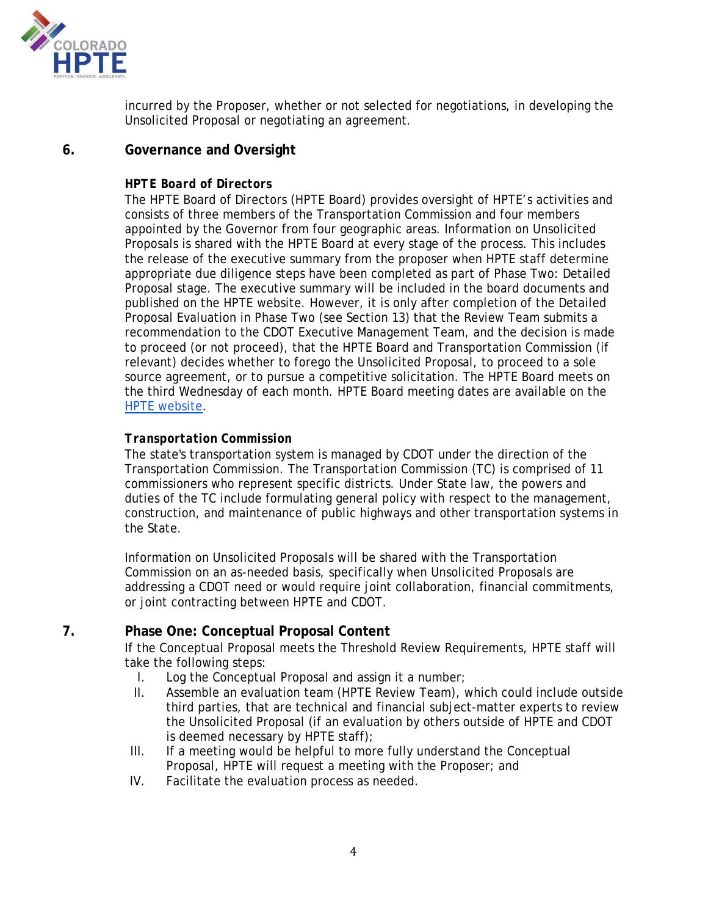

incurred by the Proposer, whether or not selected for negotiations, in developing the Unsolicited Proposal or negotiating an agreement.

# **6. Governance and Oversight**

### *HPTE Board of Directors*

The HPTE Board of Directors (HPTE Board) provides oversight of HPTE's activities and consists of three members of the Transportation Commission and four members appointed by the Governor from four geographic areas. Information on Unsolicited Proposals is shared with the HPTE Board at every stage of the process. This includes the release of the executive summary from the proposer when HPTE staff determine appropriate due diligence steps have been completed as part of Phase Two: Detailed Proposal stage. The executive summary will be included in the board documents and published on the HPTE website. However, it is only after completion of the Detailed Proposal Evaluation in Phase Two (see Section 13) that the Review Team submits a recommendation to the CDOT Executive Management Team, and the decision is made to proceed (or not proceed), that the HPTE Board and Transportation Commission (if relevant) decides whether to forego the Unsolicited Proposal, to proceed to a sole source agreement, or to pursue a competitive solicitation. The HPTE Board meets on the third Wednesday of each month. HPTE Board meeting dates are available on the HPTE website.

# *Transportation Commission*

The state's transportation system is managed by CDOT under the direction of the Transportation Commission. The Transportation Commission (TC) is comprised of 11 commissioners who represent specific districts. Under State law, the powers and duties of the TC include formulating general policy with respect to the management, construction, and maintenance of public highways and other transportation systems in the State.

Information on Unsolicited Proposals will be shared with the Transportation Commission on an as-needed basis, specifically when Unsolicited Proposals are addressing a CDOT need or would require joint collaboration, financial commitments, or joint contracting between HPTE and CDOT.

# **7. Phase One: Conceptual Proposal Content**

If the Conceptual Proposal meets the Threshold Review Requirements, HPTE staff will take the following steps:

- I. Log the Conceptual Proposal and assign it a number;
- II. Assemble an evaluation team (HPTE Review Team), which could include outside third parties, that are technical and financial subject-matter experts to review the Unsolicited Proposal (if an evaluation by others outside of HPTE and CDOT is deemed necessary by HPTE staff);
- III. If a meeting would be helpful to more fully understand the Conceptual Proposal, HPTE will request a meeting with the Proposer; and
- IV. Facilitate the evaluation process as needed.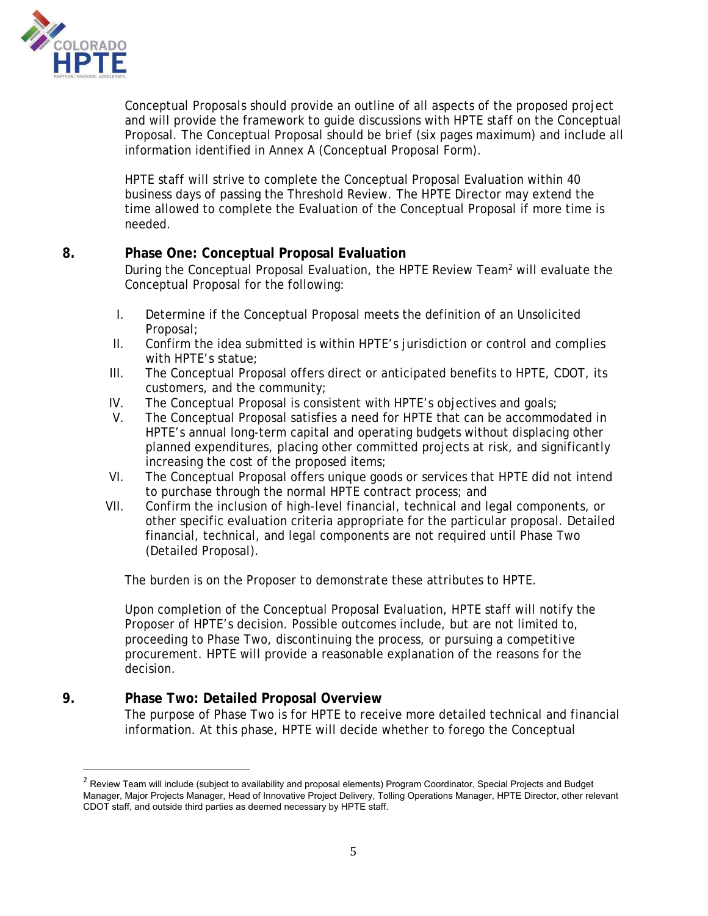

Conceptual Proposals should provide an outline of all aspects of the proposed project and will provide the framework to guide discussions with HPTE staff on the Conceptual Proposal. The Conceptual Proposal should be brief (six pages maximum) and include all information identified in Annex A (Conceptual Proposal Form).

HPTE staff will strive to complete the Conceptual Proposal Evaluation within 40 business days of passing the Threshold Review. The HPTE Director may extend the time allowed to complete the Evaluation of the Conceptual Proposal if more time is needed.

# **8. Phase One: Conceptual Proposal Evaluation**

During the Conceptual Proposal Evaluation, the HPTE Review Team<sup>2</sup> will evaluate the Conceptual Proposal for the following:

- I. Determine if the Conceptual Proposal meets the definition of an Unsolicited Proposal;
- II. Confirm the idea submitted is within HPTE's jurisdiction or control and complies with HPTE's statue;
- III. The Conceptual Proposal offers direct or anticipated benefits to HPTE, CDOT, its customers, and the community;
- IV. The Conceptual Proposal is consistent with HPTE's objectives and goals;
- V. The Conceptual Proposal satisfies a need for HPTE that can be accommodated in HPTE's annual long-term capital and operating budgets without displacing other planned expenditures, placing other committed projects at risk, and significantly increasing the cost of the proposed items;
- VI. The Conceptual Proposal offers unique goods or services that HPTE did not intend to purchase through the normal HPTE contract process; and
- VII. Confirm the inclusion of high-level financial, technical and legal components, or other specific evaluation criteria appropriate for the particular proposal. Detailed financial, technical, and legal components are not required until Phase Two (Detailed Proposal).

The burden is on the Proposer to demonstrate these attributes to HPTE.

Upon completion of the Conceptual Proposal Evaluation, HPTE staff will notify the Proposer of HPTE's decision. Possible outcomes include, but are not limited to, proceeding to Phase Two, discontinuing the process, or pursuing a competitive procurement. HPTE will provide a reasonable explanation of the reasons for the decision.

# **9. Phase Two: Detailed Proposal Overview**

The purpose of Phase Two is for HPTE to receive more detailed technical and financial information. At this phase, HPTE will decide whether to forego the Conceptual

 $^{\rm 2}$  Review Team will include (subject to availability and proposal elements) Program Coordinator, Special Projects and Budget Manager, Major Projects Manager, Head of Innovative Project Delivery, Tolling Operations Manager, HPTE Director, other relevant CDOT staff, and outside third parties as deemed necessary by HPTE staff.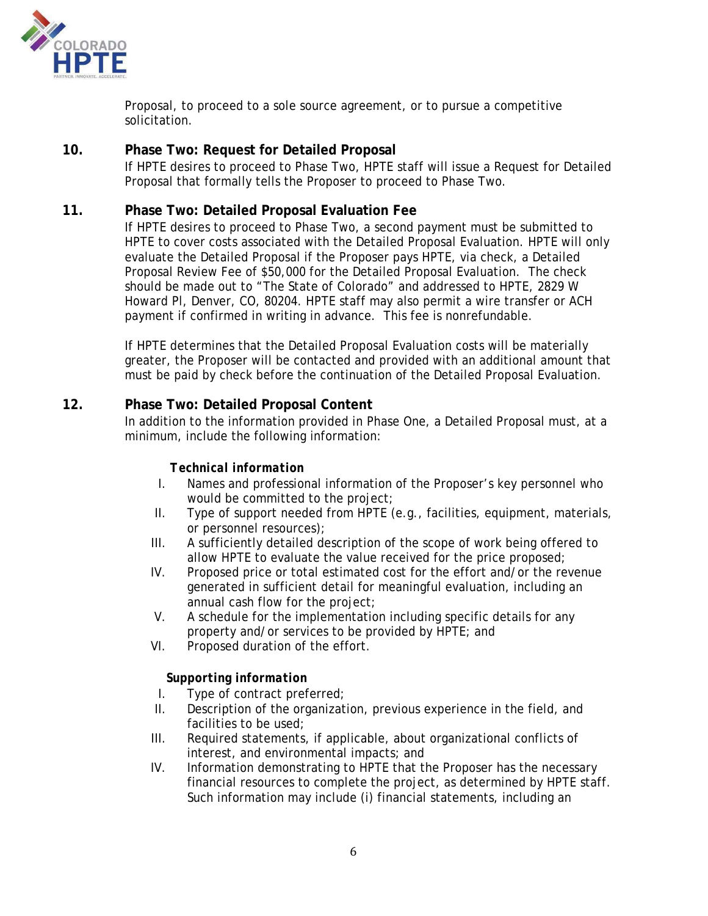

Proposal, to proceed to a sole source agreement, or to pursue a competitive solicitation.

### **10. Phase Two: Request for Detailed Proposal**

If HPTE desires to proceed to Phase Two, HPTE staff will issue a Request for Detailed Proposal that formally tells the Proposer to proceed to Phase Two.

### **11. Phase Two: Detailed Proposal Evaluation Fee**

If HPTE desires to proceed to Phase Two, a second payment must be submitted to HPTE to cover costs associated with the Detailed Proposal Evaluation. HPTE will only evaluate the Detailed Proposal if the Proposer pays HPTE, via check, a Detailed Proposal Review Fee of \$50,000 for the Detailed Proposal Evaluation. The check should be made out to "The State of Colorado" and addressed to HPTE, 2829 W Howard Pl, Denver, CO, 80204. HPTE staff may also permit a wire transfer or ACH payment if confirmed in writing in advance. This fee is nonrefundable.

If HPTE determines that the Detailed Proposal Evaluation costs will be materially greater, the Proposer will be contacted and provided with an additional amount that must be paid by check before the continuation of the Detailed Proposal Evaluation.

#### **12. Phase Two: Detailed Proposal Content**

In addition to the information provided in Phase One, a Detailed Proposal must, at a minimum, include the following information:

#### *Technical information*

- I. Names and professional information of the Proposer's key personnel who would be committed to the project;
- II. Type of support needed from HPTE (e.g., facilities, equipment, materials, or personnel resources);
- III. A sufficiently detailed description of the scope of work being offered to allow HPTE to evaluate the value received for the price proposed;
- IV. Proposed price or total estimated cost for the effort and/or the revenue generated in sufficient detail for meaningful evaluation, including an annual cash flow for the project;
- V. A schedule for the implementation including specific details for any property and/or services to be provided by HPTE; and
- VI. Proposed duration of the effort.

#### *Supporting information*

- I. Type of contract preferred;
- II. Description of the organization, previous experience in the field, and facilities to be used;
- III. Required statements, if applicable, about organizational conflicts of interest, and environmental impacts; and
- IV. Information demonstrating to HPTE that the Proposer has the necessary financial resources to complete the project, as determined by HPTE staff. Such information may include (i) financial statements, including an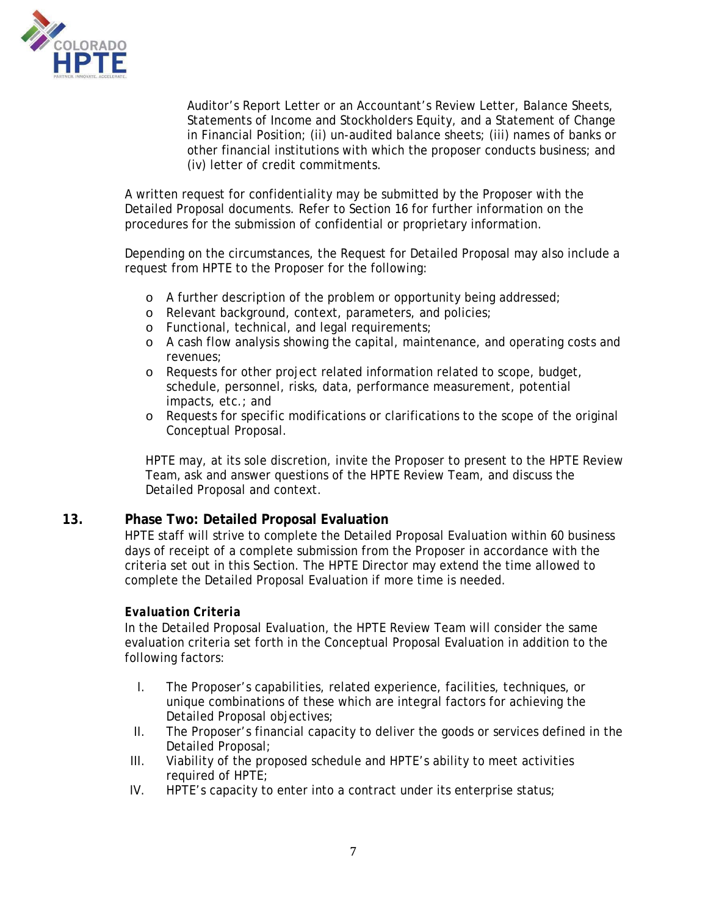

Auditor's Report Letter or an Accountant's Review Letter, Balance Sheets, Statements of Income and Stockholders Equity, and a Statement of Change in Financial Position; (ii) un-audited balance sheets; (iii) names of banks or other financial institutions with which the proposer conducts business; and (iv) letter of credit commitments.

A written request for confidentiality may be submitted by the Proposer with the Detailed Proposal documents. Refer to Section 16 for further information on the procedures for the submission of confidential or proprietary information.

Depending on the circumstances, the Request for Detailed Proposal may also include a request from HPTE to the Proposer for the following:

- o A further description of the problem or opportunity being addressed;
- o Relevant background, context, parameters, and policies;
- o Functional, technical, and legal requirements;
- o A cash flow analysis showing the capital, maintenance, and operating costs and revenues;
- o Requests for other project related information related to scope, budget, schedule, personnel, risks, data, performance measurement, potential impacts, etc.; and
- o Requests for specific modifications or clarifications to the scope of the original Conceptual Proposal.

HPTE may, at its sole discretion, invite the Proposer to present to the HPTE Review Team, ask and answer questions of the HPTE Review Team, and discuss the Detailed Proposal and context.

#### **13. Phase Two: Detailed Proposal Evaluation**

HPTE staff will strive to complete the Detailed Proposal Evaluation within 60 business days of receipt of a complete submission from the Proposer in accordance with the criteria set out in this Section. The HPTE Director may extend the time allowed to complete the Detailed Proposal Evaluation if more time is needed.

#### *Evaluation Criteria*

In the Detailed Proposal Evaluation, the HPTE Review Team will consider the same evaluation criteria set forth in the Conceptual Proposal Evaluation in addition to the following factors:

- I. The Proposer's capabilities, related experience, facilities, techniques, or unique combinations of these which are integral factors for achieving the Detailed Proposal objectives;
- II. The Proposer's financial capacity to deliver the goods or services defined in the Detailed Proposal;
- III. Viability of the proposed schedule and HPTE's ability to meet activities required of HPTE;
- IV. HPTE's capacity to enter into a contract under its enterprise status;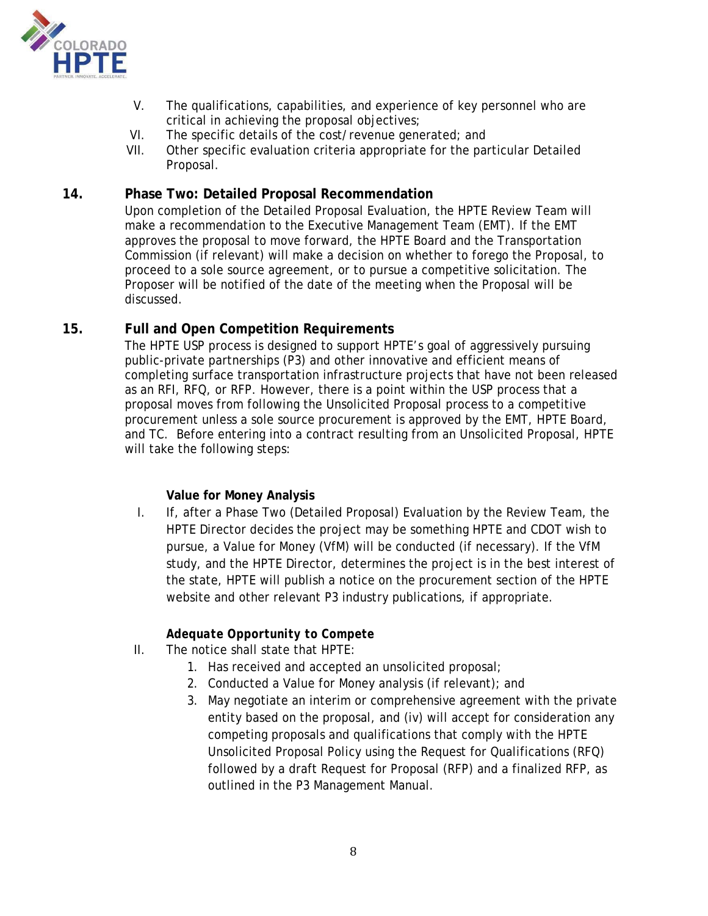

- V. The qualifications, capabilities, and experience of key personnel who are critical in achieving the proposal objectives;
- VI. The specific details of the cost/revenue generated; and
- VII. Other specific evaluation criteria appropriate for the particular Detailed Proposal.

## **14. Phase Two: Detailed Proposal Recommendation**

Upon completion of the Detailed Proposal Evaluation, the HPTE Review Team will make a recommendation to the Executive Management Team (EMT). If the EMT approves the proposal to move forward, the HPTE Board and the Transportation Commission (if relevant) will make a decision on whether to forego the Proposal, to proceed to a sole source agreement, or to pursue a competitive solicitation. The Proposer will be notified of the date of the meeting when the Proposal will be discussed.

### **15. Full and Open Competition Requirements**

The HPTE USP process is designed to support HPTE's goal of aggressively pursuing public-private partnerships (P3) and other innovative and efficient means of completing surface transportation infrastructure projects that have not been released as an RFI, RFQ, or RFP. However, there is a point within the USP process that a proposal moves from following the Unsolicited Proposal process to a competitive procurement unless a sole source procurement is approved by the EMT, HPTE Board, and TC. Before entering into a contract resulting from an Unsolicited Proposal, HPTE will take the following steps:

#### **Value for Money Analysis**

I. If, after a Phase Two (Detailed Proposal) Evaluation by the Review Team, the HPTE Director decides the project may be something HPTE and CDOT wish to pursue, a Value for Money (VfM) will be conducted (if necessary). If the VfM study, and the HPTE Director, determines the project is in the best interest of the state, HPTE will publish a notice on the procurement section of the HPTE website and other relevant P3 industry publications, if appropriate.

#### *Adequate Opportunity to Compete*

- II. The notice shall state that HPTE:
	- 1. Has received and accepted an unsolicited proposal;
	- 2. Conducted a Value for Money analysis (if relevant); and
	- 3. May negotiate an interim or comprehensive agreement with the private entity based on the proposal, and (iv) will accept for consideration any competing proposals and qualifications that comply with the HPTE Unsolicited Proposal Policy using the Request for Qualifications (RFQ) followed by a draft Request for Proposal (RFP) and a finalized RFP, as outlined in the P3 Management Manual.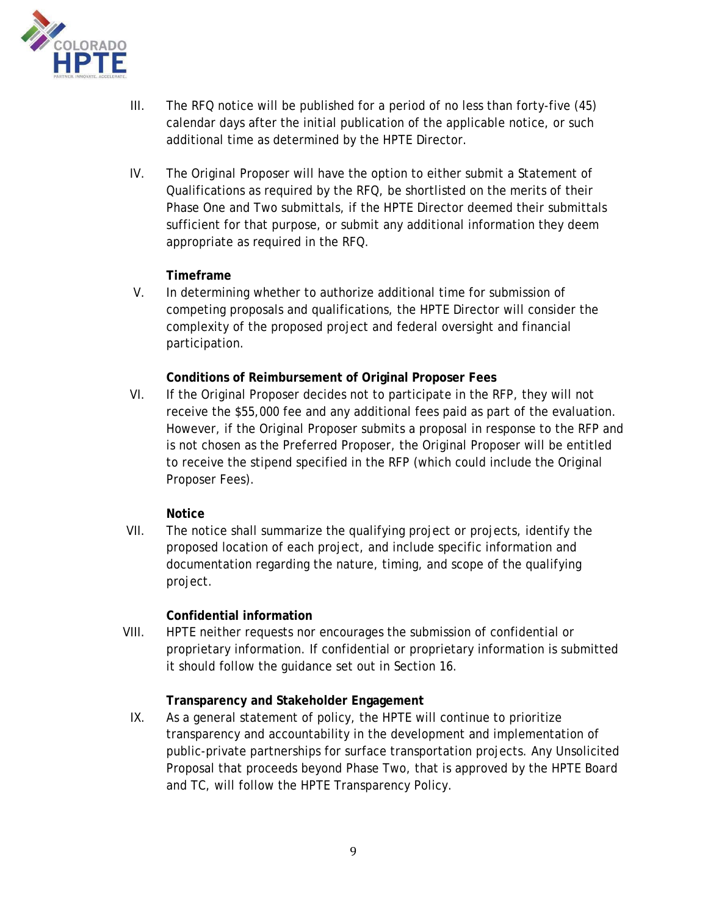

- III. The RFQ notice will be published for a period of no less than forty-five (45) calendar days after the initial publication of the applicable notice, or such additional time as determined by the HPTE Director.
- IV. The Original Proposer will have the option to either submit a Statement of Qualifications as required by the RFQ, be shortlisted on the merits of their Phase One and Two submittals, if the HPTE Director deemed their submittals sufficient for that purpose, or submit any additional information they deem appropriate as required in the RFQ.

### **Timeframe**

V. In determining whether to authorize additional time for submission of competing proposals and qualifications, the HPTE Director will consider the complexity of the proposed project and federal oversight and financial participation.

### **Conditions of Reimbursement of Original Proposer Fees**

VI. If the Original Proposer decides not to participate in the RFP, they will not receive the \$55,000 fee and any additional fees paid as part of the evaluation. However, if the Original Proposer submits a proposal in response to the RFP and is not chosen as the Preferred Proposer, the Original Proposer will be entitled to receive the stipend specified in the RFP (which could include the Original Proposer Fees).

#### **Notice**

VII. The notice shall summarize the qualifying project or projects, identify the proposed location of each project, and include specific information and documentation regarding the nature, timing, and scope of the qualifying project.

# **Confidential information**

VIII. HPTE neither requests nor encourages the submission of confidential or proprietary information. If confidential or proprietary information is submitted it should follow the guidance set out in Section 16.

# **Transparency and Stakeholder Engagement**

IX. As a general statement of policy, the HPTE will continue to prioritize transparency and accountability in the development and implementation of public-private partnerships for surface transportation projects. Any Unsolicited Proposal that proceeds beyond Phase Two, that is approved by the HPTE Board and TC, will follow the HPTE Transparency Policy.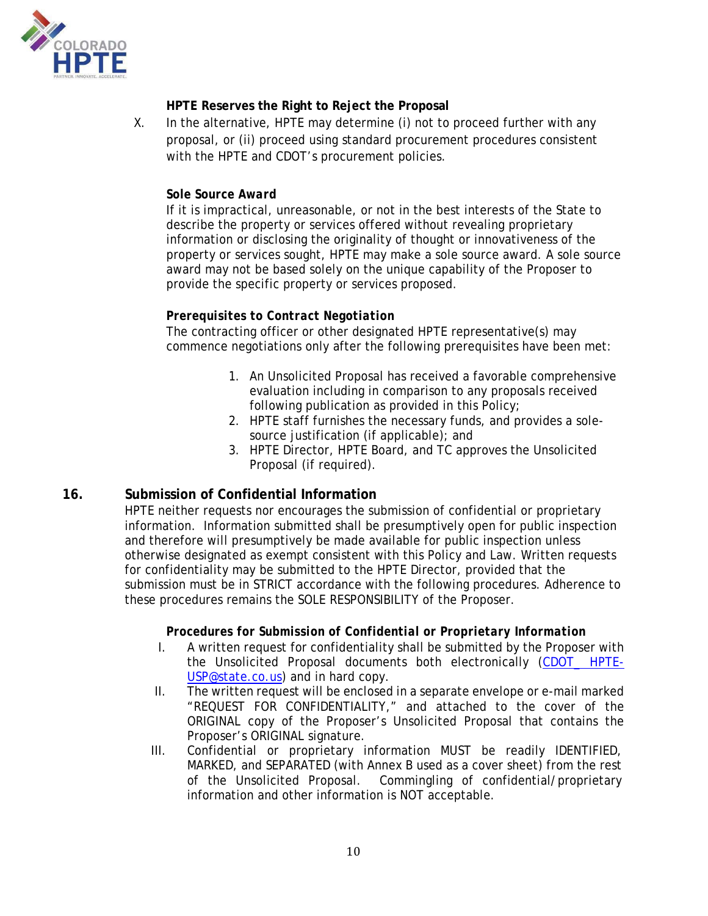

# **HPTE Reserves the Right to Reject the Proposal**

X. In the alternative, HPTE may determine (i) not to proceed further with any proposal, or (ii) proceed using standard procurement procedures consistent with the HPTE and CDOT's procurement policies.

### *Sole Source Award*

If it is impractical, unreasonable, or not in the best interests of the State to describe the property or services offered without revealing proprietary information or disclosing the originality of thought or innovativeness of the property or services sought, HPTE may make a sole source award. A sole source award may not be based solely on the unique capability of the Proposer to provide the specific property or services proposed.

### *Prerequisites to Contract Negotiation*

The contracting officer or other designated HPTE representative(s) may commence negotiations only after the following prerequisites have been met:

- 1. An Unsolicited Proposal has received a favorable comprehensive evaluation including in comparison to any proposals received following publication as provided in this Policy;
- 2. HPTE staff furnishes the necessary funds, and provides a solesource justification (if applicable); and
- 3. HPTE Director, HPTE Board, and TC approves the Unsolicited Proposal (if required).

# **16. Submission of Confidential Information**

HPTE neither requests nor encourages the submission of confidential or proprietary information. Information submitted shall be presumptively open for public inspection and therefore will presumptively be made available for public inspection unless otherwise designated as exempt consistent with this Policy and Law. Written requests for confidentiality may be submitted to the HPTE Director, provided that the submission must be in STRICT accordance with the following procedures. Adherence to these procedures remains the SOLE RESPONSIBILITY of the Proposer.

#### *Procedures for Submission of Confidential or Proprietary Information*

- I. A written request for confidentiality shall be submitted by the Proposer with the Unsolicited Proposal documents both electronically (CDOT HPTE-USP@state.co.us) and in hard copy.
- II. The written request will be enclosed in a separate envelope or e-mail marked "REQUEST FOR CONFIDENTIALITY," and attached to the cover of the ORIGINAL copy of the Proposer's Unsolicited Proposal that contains the Proposer's ORIGINAL signature.
- III. Confidential or proprietary information MUST be readily IDENTIFIED, MARKED, and SEPARATED (with Annex B used as a cover sheet) from the rest of the Unsolicited Proposal. Commingling of confidential/proprietary information and other information is NOT acceptable.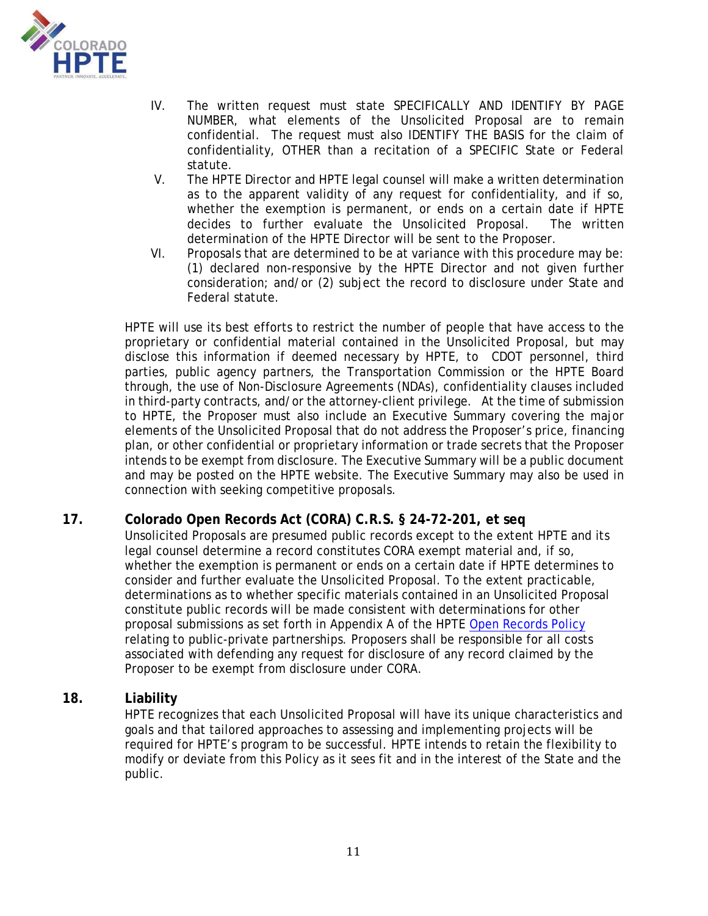

- IV. The written request must state SPECIFICALLY AND IDENTIFY BY PAGE NUMBER, what elements of the Unsolicited Proposal are to remain confidential. The request must also IDENTIFY THE BASIS for the claim of confidentiality, OTHER than a recitation of a SPECIFIC State or Federal statute.
- V. The HPTE Director and HPTE legal counsel will make a written determination as to the apparent validity of any request for confidentiality, and if so, whether the exemption is permanent, or ends on a certain date if HPTE decides to further evaluate the Unsolicited Proposal. The written determination of the HPTE Director will be sent to the Proposer.
- VI. Proposals that are determined to be at variance with this procedure may be: (1) declared non-responsive by the HPTE Director and not given further consideration; and/or (2) subject the record to disclosure under State and Federal statute.

HPTE will use its best efforts to restrict the number of people that have access to the proprietary or confidential material contained in the Unsolicited Proposal, but may disclose this information if deemed necessary by HPTE, to CDOT personnel, third parties, public agency partners, the Transportation Commission or the HPTE Board through, the use of Non-Disclosure Agreements (NDAs), confidentiality clauses included in third-party contracts, and/or the attorney-client privilege. At the time of submission to HPTE, the Proposer must also include an Executive Summary covering the major elements of the Unsolicited Proposal that do not address the Proposer's price, financing plan, or other confidential or proprietary information or trade secrets that the Proposer intends to be exempt from disclosure. The Executive Summary will be a public document and may be posted on the HPTE website. The Executive Summary may also be used in connection with seeking competitive proposals.

# **17. Colorado Open Records Act (CORA) C.R.S. § 24-72-201, et seq**

Unsolicited Proposals are presumed public records except to the extent HPTE and its legal counsel determine a record constitutes CORA exempt material and, if so, whether the exemption is permanent or ends on a certain date if HPTE determines to consider and further evaluate the Unsolicited Proposal. To the extent practicable, determinations as to whether specific materials contained in an Unsolicited Proposal constitute public records will be made consistent with determinations for other proposal submissions as set forth in Appendix A of the HPTE Open Records Policy relating to public-private partnerships. Proposers shall be responsible for all costs associated with defending any request for disclosure of any record claimed by the Proposer to be exempt from disclosure under CORA.

# **18. Liability**

HPTE recognizes that each Unsolicited Proposal will have its unique characteristics and goals and that tailored approaches to assessing and implementing projects will be required for HPTE's program to be successful. HPTE intends to retain the flexibility to modify or deviate from this Policy as it sees fit and in the interest of the State and the public.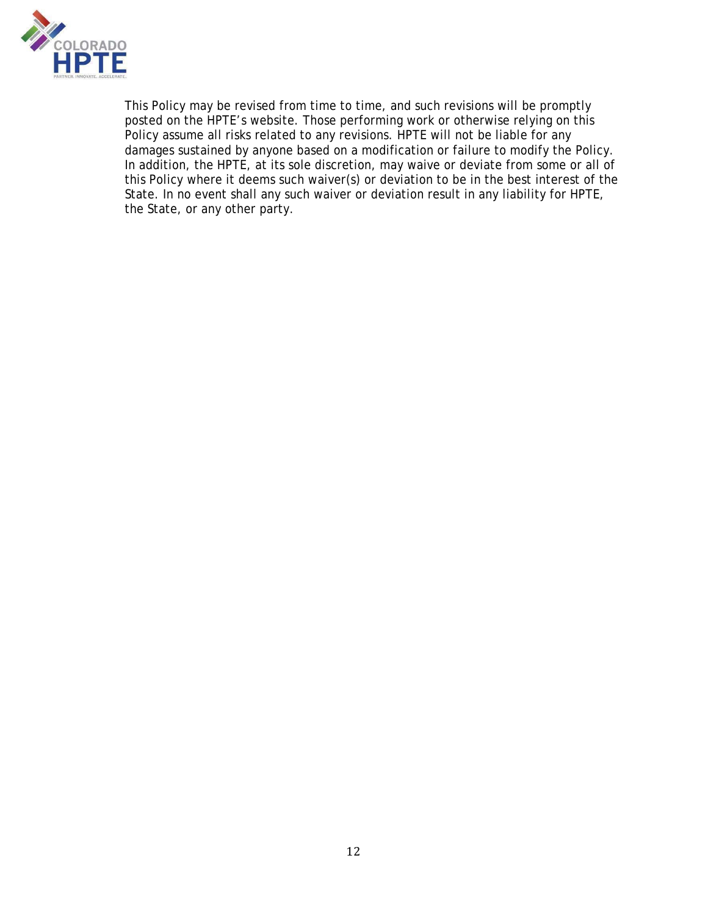

This Policy may be revised from time to time, and such revisions will be promptly posted on the HPTE's website. Those performing work or otherwise relying on this Policy assume all risks related to any revisions. HPTE will not be liable for any damages sustained by anyone based on a modification or failure to modify the Policy. In addition, the HPTE, at its sole discretion, may waive or deviate from some or all of this Policy where it deems such waiver(s) or deviation to be in the best interest of the State. In no event shall any such waiver or deviation result in any liability for HPTE, the State, or any other party.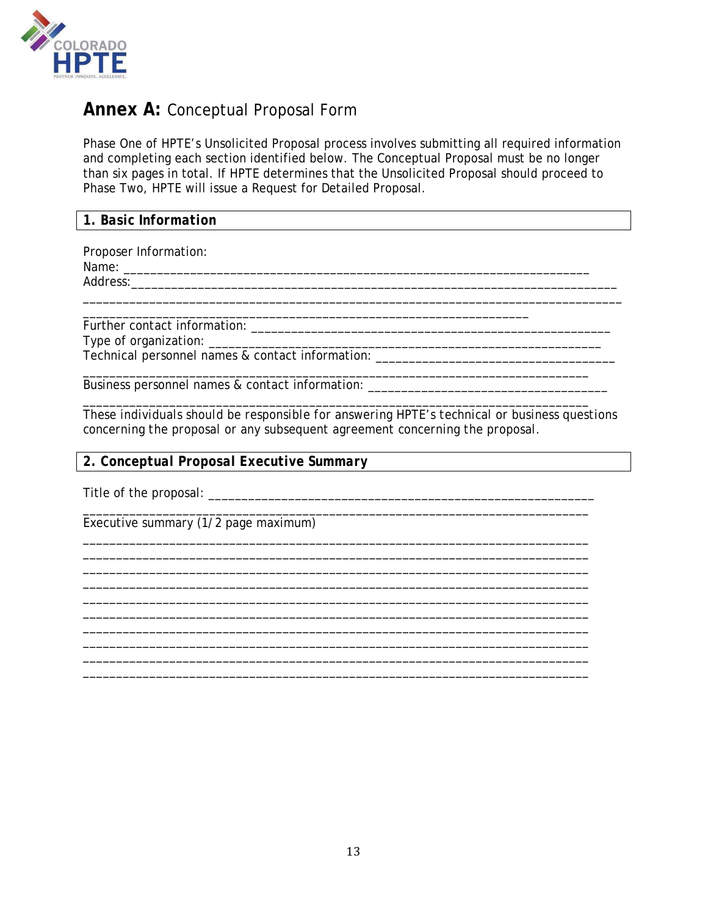

# **Annex A: Conceptual Proposal Form**

Phase One of HPTE's Unsolicited Proposal process involves submitting all required information and completing each section identified below. The Conceptual Proposal must be no longer than six pages in total. If HPTE determines that the Unsolicited Proposal should proceed to Phase Two, HPTE will issue a Request for Detailed Proposal.

| 1. Basic Information |
|----------------------|
|----------------------|

Proposer Information:

Name: \_\_\_\_\_\_\_\_\_\_\_\_\_\_\_\_\_\_\_\_\_\_\_\_\_\_\_\_\_\_\_\_\_\_\_\_\_\_\_\_\_\_\_\_\_\_\_\_\_\_\_\_\_\_\_\_\_\_\_\_\_\_\_\_\_\_\_\_\_\_

Address:\_\_\_\_\_\_\_\_\_\_\_\_\_\_\_\_\_\_\_\_\_\_\_\_\_\_\_\_\_\_\_\_\_\_\_\_\_\_\_\_\_\_\_\_\_\_\_\_\_\_\_\_\_\_\_\_\_\_\_\_\_\_\_\_\_\_\_\_\_\_\_\_\_

\_\_\_\_\_\_\_\_\_\_\_\_\_\_\_\_\_\_\_\_\_\_\_\_\_\_\_\_\_\_\_\_\_\_\_\_\_\_\_\_\_\_\_\_\_\_\_\_\_\_\_\_\_\_\_\_\_\_\_\_\_\_\_\_\_\_\_ Further contact information: \_\_\_\_\_\_\_\_\_\_\_\_\_\_\_\_\_\_\_\_\_\_\_\_\_\_\_\_\_\_\_\_\_\_\_\_\_\_\_\_\_\_\_\_\_\_\_\_\_\_\_\_\_\_ Type of organization: \_\_\_\_\_\_\_\_\_\_\_\_\_\_\_\_\_\_\_\_\_\_\_\_\_\_\_\_\_\_\_\_\_\_\_\_\_\_\_\_\_\_\_\_\_\_\_\_\_\_\_\_\_\_\_\_\_\_\_ Technical personnel names & contact information: \_\_\_\_\_\_\_\_\_\_\_\_\_\_\_\_\_\_\_\_\_\_\_\_\_\_\_\_\_\_\_\_

\_\_\_\_\_\_\_\_\_\_\_\_\_\_\_\_\_\_\_\_\_\_\_\_\_\_\_\_\_\_\_\_\_\_\_\_\_\_\_\_\_\_\_\_\_\_\_\_\_\_\_\_\_\_\_\_\_\_\_\_\_\_\_\_\_\_\_\_\_\_\_\_\_\_\_\_ Business personnel names & contact information: \_\_\_\_\_\_\_\_\_\_\_\_\_\_\_\_\_\_\_\_\_\_\_\_\_\_\_\_\_\_\_\_

\_\_\_\_\_\_\_\_\_\_\_\_\_\_\_\_\_\_\_\_\_\_\_\_\_\_\_\_\_\_\_\_\_\_\_\_\_\_\_\_\_\_\_\_\_\_\_\_\_\_\_\_\_\_\_\_\_\_\_\_\_\_\_\_\_\_\_\_\_\_\_\_\_\_\_\_ *These individuals should be responsible for answering HPTE's technical or business questions concerning the proposal or any subsequent agreement concerning the proposal.* 

\_\_\_\_\_\_\_\_\_\_\_\_\_\_\_\_\_\_\_\_\_\_\_\_\_\_\_\_\_\_\_\_\_\_\_\_\_\_\_\_\_\_\_\_\_\_\_\_\_\_\_\_\_\_\_\_\_\_\_\_\_\_\_\_\_\_\_\_\_\_\_\_\_\_\_\_ \_\_\_\_\_\_\_\_\_\_\_\_\_\_\_\_\_\_\_\_\_\_\_\_\_\_\_\_\_\_\_\_\_\_\_\_\_\_\_\_\_\_\_\_\_\_\_\_\_\_\_\_\_\_\_\_\_\_\_\_\_\_\_\_\_\_\_\_\_\_\_\_\_\_\_\_ \_\_\_\_\_\_\_\_\_\_\_\_\_\_\_\_\_\_\_\_\_\_\_\_\_\_\_\_\_\_\_\_\_\_\_\_\_\_\_\_\_\_\_\_\_\_\_\_\_\_\_\_\_\_\_\_\_\_\_\_\_\_\_\_\_\_\_\_\_\_\_\_\_\_\_\_ \_\_\_\_\_\_\_\_\_\_\_\_\_\_\_\_\_\_\_\_\_\_\_\_\_\_\_\_\_\_\_\_\_\_\_\_\_\_\_\_\_\_\_\_\_\_\_\_\_\_\_\_\_\_\_\_\_\_\_\_\_\_\_\_\_\_\_\_\_\_\_\_\_\_\_\_ \_\_\_\_\_\_\_\_\_\_\_\_\_\_\_\_\_\_\_\_\_\_\_\_\_\_\_\_\_\_\_\_\_\_\_\_\_\_\_\_\_\_\_\_\_\_\_\_\_\_\_\_\_\_\_\_\_\_\_\_\_\_\_\_\_\_\_\_\_\_\_\_\_\_\_\_ \_\_\_\_\_\_\_\_\_\_\_\_\_\_\_\_\_\_\_\_\_\_\_\_\_\_\_\_\_\_\_\_\_\_\_\_\_\_\_\_\_\_\_\_\_\_\_\_\_\_\_\_\_\_\_\_\_\_\_\_\_\_\_\_\_\_\_\_\_\_\_\_\_\_\_\_

\_\_\_\_\_\_\_\_\_\_\_\_\_\_\_\_\_\_\_\_\_\_\_\_\_\_\_\_\_\_\_\_\_\_\_\_\_\_\_\_\_\_\_\_\_\_\_\_\_\_\_\_\_\_\_\_\_\_\_\_\_\_\_\_\_\_\_\_\_\_\_\_\_\_\_\_ \_\_\_\_\_\_\_\_\_\_\_\_\_\_\_\_\_\_\_\_\_\_\_\_\_\_\_\_\_\_\_\_\_\_\_\_\_\_\_\_\_\_\_\_\_\_\_\_\_\_\_\_\_\_\_\_\_\_\_\_\_\_\_\_\_\_\_\_\_\_\_\_\_\_\_\_ \_\_\_\_\_\_\_\_\_\_\_\_\_\_\_\_\_\_\_\_\_\_\_\_\_\_\_\_\_\_\_\_\_\_\_\_\_\_\_\_\_\_\_\_\_\_\_\_\_\_\_\_\_\_\_\_\_\_\_\_\_\_\_\_\_\_\_\_\_\_\_\_\_\_\_\_

*2. Conceptual Proposal Executive Summary* 

Title of the proposal: \_\_\_\_\_\_\_\_\_\_\_\_\_\_\_\_\_\_\_\_\_\_\_\_\_\_\_\_\_\_\_\_\_\_\_\_\_\_\_\_\_\_\_\_\_\_\_\_\_\_\_\_\_\_\_\_\_\_

\_\_\_\_\_\_\_\_\_\_\_\_\_\_\_\_\_\_\_\_\_\_\_\_\_\_\_\_\_\_\_\_\_\_\_\_\_\_\_\_\_\_\_\_\_\_\_\_\_\_\_\_\_\_\_\_\_\_\_\_\_\_\_\_\_\_\_\_\_\_\_\_\_\_\_\_ Executive summary (1/2 page maximum)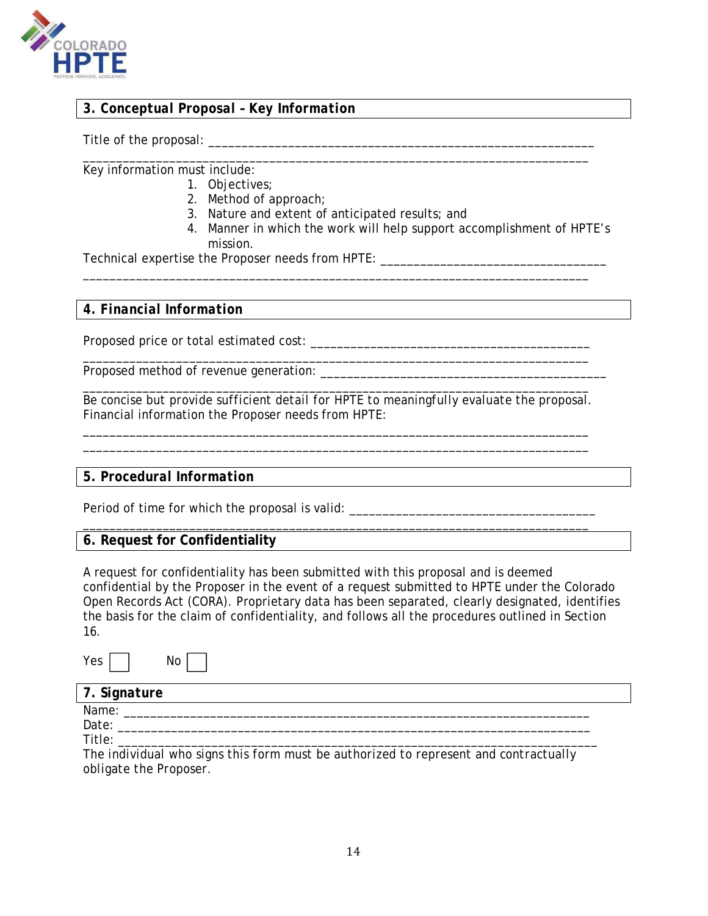

# *3. Conceptual Proposal – Key Information*

Title of the proposal: \_\_\_\_\_\_\_\_\_\_\_\_\_\_\_\_\_\_\_\_\_\_\_\_\_\_\_\_\_\_\_\_\_\_\_\_\_\_\_\_\_\_\_\_\_\_\_\_\_\_\_\_\_\_\_\_\_\_

\_\_\_\_\_\_\_\_\_\_\_\_\_\_\_\_\_\_\_\_\_\_\_\_\_\_\_\_\_\_\_\_\_\_\_\_\_\_\_\_\_\_\_\_\_\_\_\_\_\_\_\_\_\_\_\_\_\_\_\_\_\_\_\_\_\_\_\_\_\_\_\_\_\_\_\_ Key information must include:

- 1. Objectives;
	- 2. Method of approach;
	- 3. Nature and extent of anticipated results; and

\_\_\_\_\_\_\_\_\_\_\_\_\_\_\_\_\_\_\_\_\_\_\_\_\_\_\_\_\_\_\_\_\_\_\_\_\_\_\_\_\_\_\_\_\_\_\_\_\_\_\_\_\_\_\_\_\_\_\_\_\_\_\_\_\_\_\_\_\_\_\_\_\_\_\_\_

4. Manner in which the work will help support accomplishment of HPTE's mission.

\_\_\_\_\_\_\_\_\_\_\_\_\_\_\_\_\_\_\_\_\_\_\_\_\_\_\_\_\_\_\_\_\_\_\_\_\_\_\_\_\_\_\_\_\_\_\_\_\_\_\_\_\_\_\_\_\_\_\_\_\_\_\_\_\_\_\_\_\_\_\_\_\_\_\_\_

Technical expertise the Proposer needs from HPTE:

#### *4. Financial Information*

Proposed price or total estimated cost:  $\blacksquare$ 

Proposed method of revenue generation:

\_\_\_\_\_\_\_\_\_\_\_\_\_\_\_\_\_\_\_\_\_\_\_\_\_\_\_\_\_\_\_\_\_\_\_\_\_\_\_\_\_\_\_\_\_\_\_\_\_\_\_\_\_\_\_\_\_\_\_\_\_\_\_\_\_\_\_\_\_\_\_\_\_\_\_\_ *Be concise but provide sufficient detail for HPTE to meaningfully evaluate the proposal.*  Financial information the Proposer needs from HPTE:

\_\_\_\_\_\_\_\_\_\_\_\_\_\_\_\_\_\_\_\_\_\_\_\_\_\_\_\_\_\_\_\_\_\_\_\_\_\_\_\_\_\_\_\_\_\_\_\_\_\_\_\_\_\_\_\_\_\_\_\_\_\_\_\_\_\_\_\_\_\_\_\_\_\_\_\_ \_\_\_\_\_\_\_\_\_\_\_\_\_\_\_\_\_\_\_\_\_\_\_\_\_\_\_\_\_\_\_\_\_\_\_\_\_\_\_\_\_\_\_\_\_\_\_\_\_\_\_\_\_\_\_\_\_\_\_\_\_\_\_\_\_\_\_\_\_\_\_\_\_\_\_\_

#### *5. Procedural Information*

Period of time for which the proposal is valid: \_\_\_\_\_\_\_\_\_\_\_\_\_\_\_\_\_\_\_\_\_\_\_\_\_\_\_\_\_\_\_\_\_

# **6. Request for Confidentiality**

A request for confidentiality has been submitted with this proposal and is deemed confidential by the Proposer in the event of a request submitted to HPTE under the Colorado Open Records Act (CORA). Proprietary data has been separated, clearly designated, identifies the basis for the claim of confidentiality, and follows all the procedures outlined in Section 16.

 $Yes \Box$  No  $\Box$ 

| .,<br>۰. |  |
|----------|--|
| ×        |  |

| 7. Signature |  |  |
|--------------|--|--|
| Name:        |  |  |

Date: \_\_\_\_\_\_\_\_\_\_\_\_\_\_\_\_\_\_\_\_\_\_\_\_\_\_\_\_\_\_\_\_\_\_\_\_\_\_\_\_\_\_\_\_\_\_\_\_\_\_\_\_\_\_\_\_\_\_\_\_\_\_\_\_\_\_\_\_\_\_\_

Title: \_\_\_\_\_\_\_\_\_\_\_\_\_\_\_\_\_\_\_\_\_\_\_\_\_\_\_\_\_\_\_\_\_\_\_\_\_\_\_\_\_\_\_\_\_\_\_\_\_\_\_\_\_\_\_\_\_\_\_\_\_\_\_\_\_\_\_\_\_\_\_\_

*The individual who signs this form must be authorized to represent and contractually obligate the Proposer.*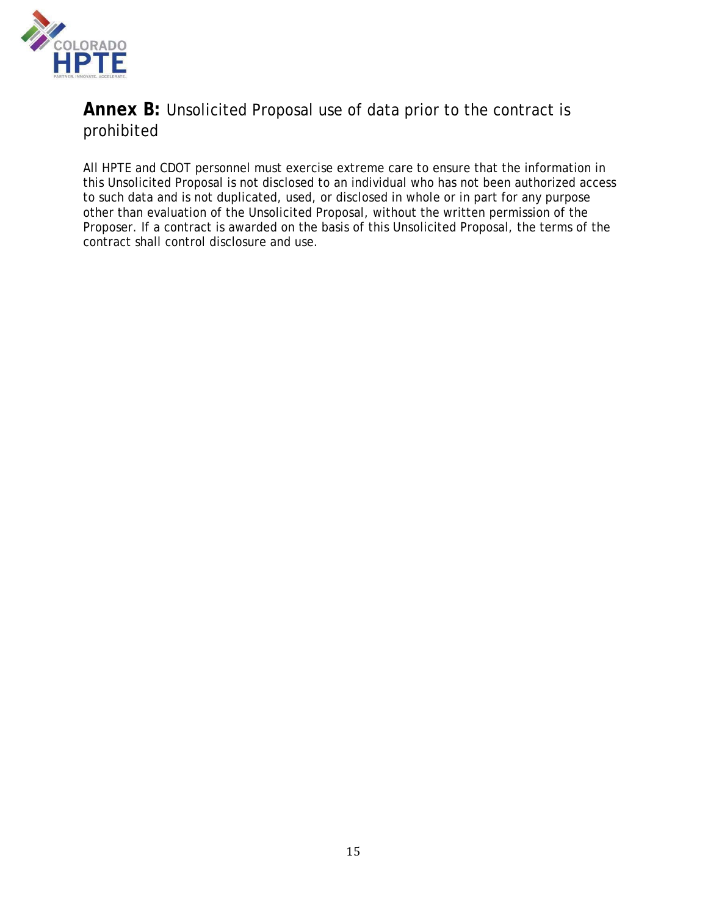

# **Annex B:** Unsolicited Proposal use of data prior to the contract is prohibited

All HPTE and CDOT personnel must exercise extreme care to ensure that the information in this Unsolicited Proposal is not disclosed to an individual who has not been authorized access to such data and is not duplicated, used, or disclosed in whole or in part for any purpose other than evaluation of the Unsolicited Proposal, without the written permission of the Proposer. If a contract is awarded on the basis of this Unsolicited Proposal, the terms of the contract shall control disclosure and use.